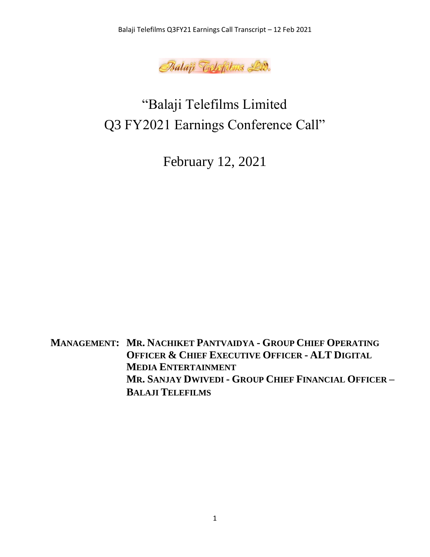

# "Balaji Telefilms Limited Q3 FY2021 Earnings Conference Call"

February 12, 2021

**MANAGEMENT: MR. NACHIKET PANTVAIDYA - GROUP CHIEF OPERATING OFFICER & CHIEF EXECUTIVE OFFICER - ALT DIGITAL MEDIA ENTERTAINMENT MR. SANJAY DWIVEDI - GROUP CHIEF FINANCIAL OFFICER – BALAJI TELEFILMS**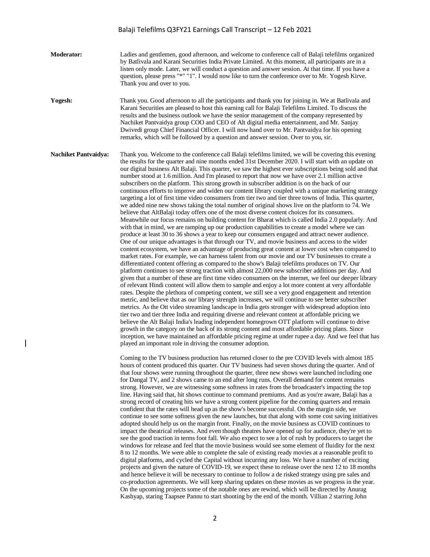- **Moderator:** Ladies and gentlemen, good afternoon, and welcome to conference call of Balaji telefilms organized by Batlivala and Karani Securities India Private Limited. At this moment, all participants are in a listen only mode. Later, we will conduct a question and answer session. At that time. If you have a question, please press "\*" "1". I would now like to turn the conference over to Mr. Yogesh Kirve. Thank you and over to you.
- **Yogesh:** Thank you. Good afternoon to all the participants and thank you for joining in. We at Batlivala and Karani Securities are pleased to host this earning call for Balaji Telefilms Limited. To discuss the results and the business outlook we have the senior management of the company represented by Nachiket Pantvaidya group COO and CEO of Alt digital media entertainment, and Mr. Sanjay Dwivedi group Chief Financial Officer. I will now hand over to Mr. Pantvaidya for his opening remarks, which will be followed by a question and answer session. Over to you, sir.

**Nachiket Pantvaidya:** Thank you. Welcome to the conference call Balaji telefilms limited, we will be covering this evening the results for the quarter and nine months ended 31st December 2020. I will start with an update on our digital business Alt Balaji. This quarter, we saw the highest ever subscriptions being sold and that number stood at 1.6 million. And I'm pleased to report that now we have over 2.1 million active subscribers on the platform. This strong growth in subscriber addition is on the back of our continuous efforts to improve and widen our content library coupled with a unique marketing strategy targeting a lot of first time video consumers from tier two and tier three towns of India. This quarter, we added nine new shows taking the total number of original shows live on the platform to 74. We believe that AltBalaji today offers one of the most diverse content choices for its consumers. Meanwhile our focus remains on building content for Bharat which is called India 2.0 popularly. And with that in mind, we are ramping up our production capabilities to create a model where we can produce at least 30 to 36 shows a year to keep our consumers engaged and attract newer audience. One of our unique advantages is that through our TV, and movie business and access to the wider content ecosystem, we have an advantage of producing great content at lower cost when compared to market rates. For example, we can harness talent from our movie and our TV businesses to create a differentiated content offering as compared to the show's Balaji telefilms produces on TV. Our platform continues to see strong traction with almost 22,000 new subscriber additions per day. And given that a number of these are first time video consumers on the internet, we feel our deeper library of relevant Hindi content will allow them to sample and enjoy a lot more content at very affordable rates. Despite the plethora of competing content, we still see a very good engagement and retention metric, and believe that as our library strength increases, we will continue to see better subscriber metrics. As the Ott video streaming landscape in India gets stronger with widespread adoption into tier two and tier three India and requiring diverse and relevant content at affordable pricing we believe the Alt Balaji India's leading independent homegrown OTT platform will continue to drive growth in the category on the back of its strong content and most affordable pricing plans. Since inception, we have maintained an affordable pricing regime at under rupee a day. And we feel that has played an important role in driving the consumer adoption.

> Coming to the TV business production has returned closer to the pre COVID levels with almost 185 hours of content produced this quarter. Our TV business had seven shows during the quarter. And of that four shows were running throughout the quarter, three new shows were launched including one for Dangal TV, and 2 shows came to an end after long runs. Overall demand for content remains strong. However, we are witnessing some softness in rates from the broadcaster's impacting the top line. Having said that, hit shows continue to command premiums. And as you're aware, Balaji has a strong record of creating hits we have a strong content pipeline for the coming quarters and remain confident that the rates will head up as the show's become successful. On the margin side, we continue to see some softness given the new launches, but that along with some cost saving initiatives adopted should help us on the margin front. Finally, on the movie business as COVID continues to impact the theatrical releases. And even though theatres have opened up for audience, they're yet to see the good traction in terms foot fall. We also expect to see a lot of rush by producers to target the windows for release and feel that the movie business would see some element of fluidity for the next 8 to 12 months. We were able to complete the sale of existing ready movies at a reasonable profit to digital platforms, and cycled the Capital without incurring any loss. We have a number of exciting projects and given the nature of COVID-19, we expect these to release over the next 12 to 18 months and hence believe it will be necessary to continue to follow a de risked strategy using pre sales and co-production agreements. We will keep sharing updates on these movies as we progress in the year. On the upcoming projects some of the notable ones are rewind, which will be directed by Anurag Kashyap, staring Taapsee Pannu to start shooting by the end of the month. Villian 2 starring John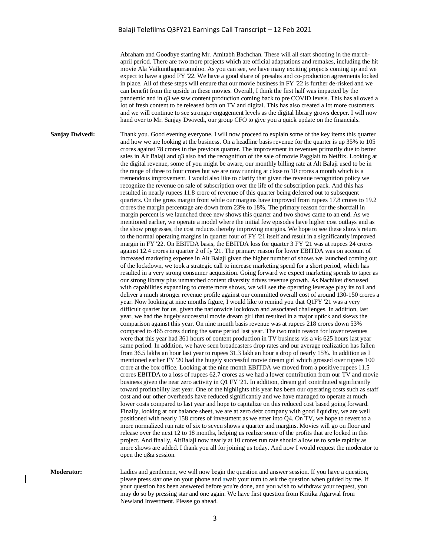Abraham and Goodbye starring Mr. Amitabh Bachchan. These will all start shooting in the marchapril period. There are two more projects which are official adaptations and remakes, including the hit movie Ala Vaikunthapurramuloo. As you can see, we have many exciting projects coming up and we expect to have a good FY '22. We have a good share of presales and co-production agreements locked in place. All of these steps will ensure that our movie business in FY '22 is further de-risked and we can benefit from the upside in these movies. Overall, I think the first half was impacted by the pandemic and in q3 we saw content production coming back to pre COVID levels. This has allowed a lot of fresh content to be released both on TV and digital. This has also created a lot more customers and we will continue to see stronger engagement levels as the digital library grows deeper. I will now hand over to Mr. Sanjay Dwivedi, our group CFO to give you a quick update on the financials.

**Sanjay Dwivedi:** Thank you. Good evening everyone. I will now proceed to explain some of the key items this quarter and how we are looking at the business. On a headline basis revenue for the quarter is up 35% to 105 crores against 78 crores in the previous quarter. The improvement in revenues primarily due to better sales in Alt Balaji and q3 also had the recognition of the sale of movie Pagglait to Netflix. Looking at the digital revenue, some of you might be aware, our monthly billing rate at Alt Balaji used to be in the range of three to four crores but we are now running at close to 10 crores a month which is a tremendous improvement. I would also like to clarify that given the revenue recognition policy we recognize the revenue on sale of subscription over the life of the subscription pack. And this has resulted in nearly rupees 11.8 crore of revenue of this quarter being deferred out to subsequent quarters. On the gross margin front while our margins have improved from rupees 17.8 crores to 19.2 crores the margin percentage are down from 23% to 18%. The primary reason for the shortfall in margin percent is we launched three new shows this quarter and two shows came to an end. As we mentioned earlier, we operate a model where the initial few episodes have higher cost outlays and as the show progresses, the cost reduces thereby improving margins. We hope to see these show's return to the normal operating margins in quarter four of FY '21 itself and result in a significantly improved margin in FY '22. On EBITDA basis, the EBITDA loss for quarter 3 FY '21 was at rupees 24 crores against 12.4 crores in quarter 2 of fy '21. The primary reason for lower EBITDA was on account of increased marketing expense in Alt Balaji given the higher number of shows we launched coming out of the lockdown, we took a strategic call to increase marketing spend for a short period, which has resulted in a very strong consumer acquisition. Going forward we expect marketing spends to taper as our strong library plus unmatched content diversity drives revenue growth. As Nachiket discussed with capabilities expanding to create more shows, we will see the operating leverage play its roll and deliver a much stronger revenue profile against our committed overall cost of around 130-150 crores a year. Now looking at nine months figure, I would like to remind you that Q1FY '21 was a very difficult quarter for us, given the nationwide lockdown and associated challenges. In addition, last year, we had the hugely successful movie dream girl that resulted in a major uptick and skews the comparison against this year. On nine month basis revenue was at rupees 218 crores down 53% compared to 465 crores during the same period last year. The two main reason for lower revenues were that this year had 361 hours of content production in TV business vis a vis 625 hours last year same period. In addition, we have seen broadcasters drop rates and our average realization has fallen from 36.5 lakhs an hour last year to rupees 31.3 lakh an hour a drop of nearly 15%. In addition as I mentioned earlier FY '20 had the hugely successful movie dream girl which grossed over rupees 100 crore at the box office. Looking at the nine month EBITDA we moved from a positive rupees 11.5 crores EBITDA to a loss of rupees 62.7 crores as we had a lower contribution from our TV and movie business given the near zero activity in Q1 FY '21. In addition, dream girl contributed significantly toward profitability last year. One of the highlights this year has been our operating costs such as staff cost and our other overheads have reduced significantly and we have managed to operate at much lower costs compared to last year and hope to capitalize on this reduced cost based going forward. Finally, looking at our balance sheet, we are at zero debt company with good liquidity, we are well positioned with nearly 158 crores of investment as we enter into Q4. On TV, we hope to revert to a more normalized run rate of six to seven shows a quarter and margins. Movies will go on floor and release over the next 12 to 18 months, helping us realize some of the profits that are locked in this project. And finally, AltBalaji now nearly at 10 crores run rate should allow us to scale rapidly as more shows are added. I thank you all for joining us today. And now I would request the moderator to open the q&a session.

**Moderator:** Ladies and gentlemen, we will now begin the question and answer session. If you have a question, please press star one on your phone and await your turn to ask the question when guided by me. If your question has been answered before you're done, and you wish to withdraw your request, you may do so by pressing star and one again. We have first question from Kritika Agarwal from Newland Investment. Please go ahead.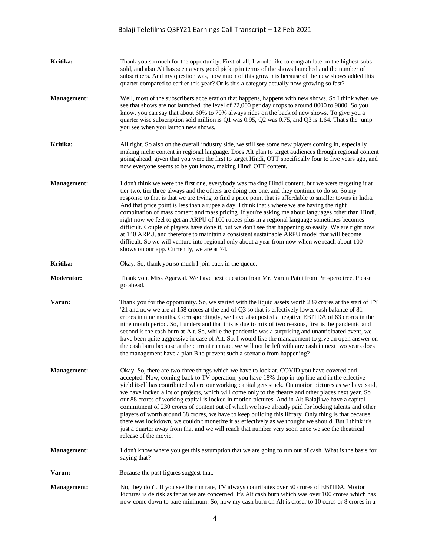| Kritika:           | Thank you so much for the opportunity. First of all, I would like to congratulate on the highest subs<br>sold, and also Alt has seen a very good pickup in terms of the shows launched and the number of<br>subscribers. And my question was, how much of this growth is because of the new shows added this<br>quarter compared to earlier this year? Or is this a category actually now growing so fast?                                                                                                                                                                                                                                                                                                                                                                                                                                                                                                                                                                              |
|--------------------|-----------------------------------------------------------------------------------------------------------------------------------------------------------------------------------------------------------------------------------------------------------------------------------------------------------------------------------------------------------------------------------------------------------------------------------------------------------------------------------------------------------------------------------------------------------------------------------------------------------------------------------------------------------------------------------------------------------------------------------------------------------------------------------------------------------------------------------------------------------------------------------------------------------------------------------------------------------------------------------------|
| <b>Management:</b> | Well, most of the subscribers acceleration that happens, happens with new shows. So I think when we<br>see that shows are not launched, the level of 22,000 per day drops to around 8000 to 9000. So you<br>know, you can say that about 60% to 70% always rides on the back of new shows. To give you a<br>quarter wise subscription sold million is Q1 was 0.95, Q2 was 0.75, and Q3 is 1.64. That's the jump<br>you see when you launch new shows.                                                                                                                                                                                                                                                                                                                                                                                                                                                                                                                                   |
| Kritika:           | All right. So also on the overall industry side, we still see some new players coming in, especially<br>making niche content in regional language. Does Alt plan to target audiences through regional content<br>going ahead, given that you were the first to target Hindi, OTT specifically four to five years ago, and<br>now everyone seems to be you know, making Hindi OTT content.                                                                                                                                                                                                                                                                                                                                                                                                                                                                                                                                                                                               |
| <b>Management:</b> | I don't think we were the first one, everybody was making Hindi content, but we were targeting it at<br>tier two, tier three always and the others are doing tier one, and they continue to do so. So my<br>response to that is that we are trying to find a price point that is affordable to smaller towns in India.<br>And that price point is less than a rupee a day. I think that's where we are having the right<br>combination of mass content and mass pricing. If you're asking me about languages other than Hindi,<br>right now we feel to get an ARPU of 100 rupees plus in a regional language sometimes becomes<br>difficult. Couple of players have done it, but we don't see that happening so easily. We are right now<br>at 140 ARPU, and therefore to maintain a consistent sustainable ARPU model that will become<br>difficult. So we will venture into regional only about a year from now when we reach about 100<br>shows on our app. Currently, we are at 74. |
| Kritika:           | Okay. So, thank you so much I join back in the queue.                                                                                                                                                                                                                                                                                                                                                                                                                                                                                                                                                                                                                                                                                                                                                                                                                                                                                                                                   |
| Moderator:         | Thank you, Miss Agarwal. We have next question from Mr. Varun Patni from Prospero tree. Please<br>go ahead.                                                                                                                                                                                                                                                                                                                                                                                                                                                                                                                                                                                                                                                                                                                                                                                                                                                                             |
| Varun:             | Thank you for the opportunity. So, we started with the liquid assets worth 239 crores at the start of FY<br>$21$ and now we are at 158 crores at the end of Q3 so that is effectively lower cash balance of 81<br>crores in nine months. Correspondingly, we have also posted a negative EBITDA of 63 crores in the<br>nine month period. So, I understand that this is due to mix of two reasons, first is the pandemic and<br>second is the cash burn at Alt. So, while the pandemic was a surprising and unanticipated event, we<br>have been quite aggressive in case of Alt. So, I would like the management to give an open answer on<br>the cash burn because at the current run rate, we will not be left with any cash in next two years does<br>the management have a plan B to prevent such a scenario from happening?                                                                                                                                                       |
| <b>Management:</b> | Okay. So, there are two-three things which we have to look at. COVID you have covered and<br>accepted. Now, coming back to TV operation, you have 18% drop in top line and in the effective<br>yield itself has contributed where our working capital gets stuck. On motion pictures as we have said,<br>we have locked a lot of projects, which will come only to the theatre and other places next year. So<br>our 88 crores of working capital is locked in motion pictures. And in Alt Balaji we have a capital<br>commitment of 230 crores of content out of which we have already paid for locking talents and other<br>players of worth around 68 crores, we have to keep building this library. Only thing is that because<br>there was lockdown, we couldn't monetize it as effectively as we thought we should. But I think it's<br>just a quarter away from that and we will reach that number very soon once we see the theatrical<br>release of the movie.                 |
| <b>Management:</b> | I don't know where you get this assumption that we are going to run out of cash. What is the basis for<br>saying that?                                                                                                                                                                                                                                                                                                                                                                                                                                                                                                                                                                                                                                                                                                                                                                                                                                                                  |
| Varun:             | Because the past figures suggest that.                                                                                                                                                                                                                                                                                                                                                                                                                                                                                                                                                                                                                                                                                                                                                                                                                                                                                                                                                  |
| <b>Management:</b> | No, they don't. If you see the run rate, TV always contributes over 50 crores of EBITDA. Motion<br>Pictures is de risk as far as we are concerned. It's Alt cash burn which was over 100 crores which has<br>now come down to bare minimum. So, now my cash burn on Alt is closer to 10 cores or 8 crores in a                                                                                                                                                                                                                                                                                                                                                                                                                                                                                                                                                                                                                                                                          |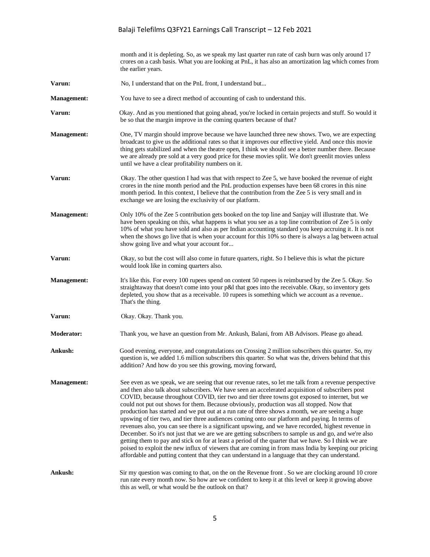month and it is depleting. So, as we speak my last quarter run rate of cash burn was only around 17 crores on a cash basis. What you are looking at PnL, it has also an amortization lag which comes from the earlier years. **Varun:** No, I understand that on the PnL front, I understand but... **Management:** You have to see a direct method of accounting of cash to understand this. **Varun:** Okay. And as you mentioned that going ahead, you're locked in certain projects and stuff. So would it be so that the margin improve in the coming quarters because of that? **Management:** One, TV margin should improve because we have launched three new shows. Two, we are expecting broadcast to give us the additional rates so that it improves our effective yield. And once this movie thing gets stabilized and when the theatre open, I think we should see a better number there. Because we are already pre sold at a very good price for these movies split. We don't greenlit movies unless until we have a clear profitability numbers on it. **Varun:** Okay. The other question I had was that with respect to Zee 5, we have booked the revenue of eight crores in the nine month period and the PnL production expenses have been 68 crores in this nine month period. In this context, I believe that the contribution from the Zee 5 is very small and in exchange we are losing the exclusivity of our platform. **Management:** Only 10% of the Zee 5 contribution gets booked on the top line and Sanjay will illustrate that. We have been speaking on this, what happens is what you see as a top line contribution of Zee 5 is only 10% of what you have sold and also as per Indian accounting standard you keep accruing it. It is not when the shows go live that is when your account for this 10% so there is always a lag between actual show going live and what your account for... **Varun:** Okay, so but the cost will also come in future quarters, right. So I believe this is what the picture would look like in coming quarters also. **Management:** It's like this. For every 100 rupees spend on content 50 rupees is reimbursed by the Zee 5. Okay. So straightaway that doesn't come into your p&l that goes into the receivable. Okay, so inventory gets depleted, you show that as a receivable. 10 rupees is something which we account as a revenue.. That's the thing. **Varun:** Okay. Okay. Thank you. **Moderator:** Thank you, we have an question from Mr. Ankush, Balani, from AB Advisors. Please go ahead. **Ankush:** Good evening, everyone, and congratulations on Crossing 2 million subscribers this quarter. So, my question is, we added 1.6 million subscribers this quarter. So what was the, drivers behind that this addition? And how do you see this growing, moving forward, **Management:** See even as we speak, we are seeing that our revenue rates, so let me talk from a revenue perspective and then also talk about subscribers. We have seen an accelerated acquisition of subscribers post COVID, because throughout COVID, tier two and tier three towns got exposed to internet, but we could not put out shows for them. Because obviously, production was all stopped. Now that production has started and we put out at a run rate of three shows a month, we are seeing a huge upswing of tier two, and tier three audiences coming onto our platform and paying. In terms of revenues also, you can see there is a significant upswing, and we have recorded, highest revenue in December. So it's not just that we are we are getting subscribers to sample us and go, and we're also getting them to pay and stick on for at least a period of the quarter that we have. So I think we are poised to exploit the new influx of viewers that are coming in from mass India by keeping our pricing affordable and putting content that they can understand in a language that they can understand. **Ankush:** Sir my question was coming to that, on the on the Revenue front . So we are clocking around 10 crore run rate every month now. So how are we confident to keep it at this level or keep it growing above this as well, or what would be the outlook on that?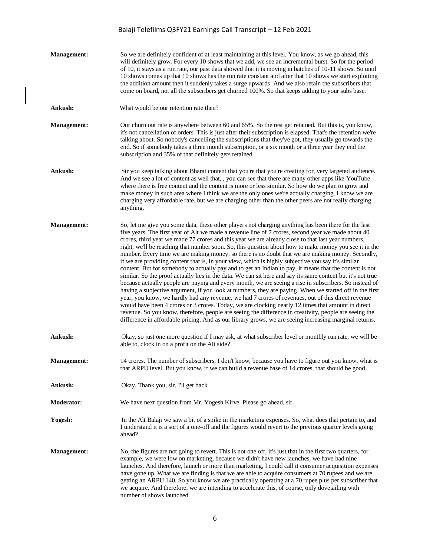| <b>Management:</b> | So we are definitely confident of at least maintaining at this level. You know, as we go ahead, this<br>will definitely grow. For every 10 shows that we add, we see an incremental burst. So for the period<br>of 10, it stays as a run rate, our past data showed that it is moving in batches of 10-11 shows. So until<br>10 shows comes up that 10 shows has the run rate constant and after that 10 shows we start exploiting<br>the addition amount then it suddenly takes a surge upwards. And we also retain the subscribers that<br>come on board, not all the subscribers get churned 100%. So that keeps adding to your subs base.                                                                                                                                                                                                                                                                                                                                                                                                                                                                                                                                                                                                                                                                                                                                                                                                                                                                       |
|--------------------|---------------------------------------------------------------------------------------------------------------------------------------------------------------------------------------------------------------------------------------------------------------------------------------------------------------------------------------------------------------------------------------------------------------------------------------------------------------------------------------------------------------------------------------------------------------------------------------------------------------------------------------------------------------------------------------------------------------------------------------------------------------------------------------------------------------------------------------------------------------------------------------------------------------------------------------------------------------------------------------------------------------------------------------------------------------------------------------------------------------------------------------------------------------------------------------------------------------------------------------------------------------------------------------------------------------------------------------------------------------------------------------------------------------------------------------------------------------------------------------------------------------------|
| Ankush:            | What would be our retention rate then?                                                                                                                                                                                                                                                                                                                                                                                                                                                                                                                                                                                                                                                                                                                                                                                                                                                                                                                                                                                                                                                                                                                                                                                                                                                                                                                                                                                                                                                                              |
| <b>Management:</b> | Our churn out rate is anywhere between 60 and 65%. So the rest get retained. But this is, you know,<br>it's not cancellation of orders. This is just after their subscription is elapsed. That's the retention we're<br>talking about. So nobody's cancelling the subscriptions that they've got, they usually go towards the<br>end. So if somebody takes a three month subscription, or a six month or a three year they end the<br>subscription and 35% of that definitely gets retained.                                                                                                                                                                                                                                                                                                                                                                                                                                                                                                                                                                                                                                                                                                                                                                                                                                                                                                                                                                                                                        |
| Ankush:            | Sir you keep talking about Bharat content that you're that you're creating for, very targeted audience.<br>And we see a lot of content as well that, , you can see that there are many other apps like YouTube<br>where there is free content and the content is more or less similar. So how do we plan to grow and<br>make money in such area where I think we are the only ones we're actually charging, I know we are<br>charging very affordable rate, but we are charging other than the other peers are not really charging<br>anything.                                                                                                                                                                                                                                                                                                                                                                                                                                                                                                                                                                                                                                                                                                                                                                                                                                                                                                                                                                     |
| <b>Management:</b> | So, let me give you some data, these other players not charging anything has been there for the last<br>five years. The first year of Alt we made a revenue line of 7 crores, second year we made about 40<br>crores, third year we made 77 crores and this year we are already close to that last year numbers,<br>right, we'll be reaching that number soon. So, this question about how to make money you see it in the<br>number. Every time we are making money, so there is no doubt that we are making money. Secondly,<br>if we are providing content that is, in your view, which is highly subjective you say it's similar<br>content. But for somebody to actually pay and to get an Indian to pay, it means that the content is not<br>similar. So the proof actually lies in the data. We can sit here and say its same content but it's not true<br>because actually people are paying and every month, we are seeing a rise in subscribers. So instead of<br>having a subjective argument, if you look at numbers, they are paying. When we started off in the first<br>year, you know, we hardly had any revenue, we had 7 crores of revenues, out of this direct revenue<br>would have been 4 crores or 3 crores. Today, we are clocking nearly 12 times that amount in direct<br>revenue. So you know, therefore, people are seeing the difference in creativity, people are seeing the<br>difference in affordable pricing. And as our library grows, we are seeing increasing marginal returns. |
| Ankush:            | Okay, so just one more question if I may ask, at what subscriber level or monthly run rate, we will be<br>able to, clock in on a profit on the Alt side?                                                                                                                                                                                                                                                                                                                                                                                                                                                                                                                                                                                                                                                                                                                                                                                                                                                                                                                                                                                                                                                                                                                                                                                                                                                                                                                                                            |
| <b>Management:</b> | 14 crores. The number of subscribers, I don't know, because you have to figure out you know, what is<br>that ARPU level. But you know, if we can build a revenue base of 14 crores, that should be good.                                                                                                                                                                                                                                                                                                                                                                                                                                                                                                                                                                                                                                                                                                                                                                                                                                                                                                                                                                                                                                                                                                                                                                                                                                                                                                            |
| Ankush:            | Okay. Thank you, sir. I'll get back.                                                                                                                                                                                                                                                                                                                                                                                                                                                                                                                                                                                                                                                                                                                                                                                                                                                                                                                                                                                                                                                                                                                                                                                                                                                                                                                                                                                                                                                                                |
| <b>Moderator:</b>  | We have next question from Mr. Yogesh Kirve. Please go ahead, sir.                                                                                                                                                                                                                                                                                                                                                                                                                                                                                                                                                                                                                                                                                                                                                                                                                                                                                                                                                                                                                                                                                                                                                                                                                                                                                                                                                                                                                                                  |
| Yogesh:            | In the Alt Balaji we saw a bit of a spike in the marketing expenses. So, what does that pertain to, and<br>I understand it is a sort of a one-off and the figures would revert to the previous quarter levels going<br>ahead?                                                                                                                                                                                                                                                                                                                                                                                                                                                                                                                                                                                                                                                                                                                                                                                                                                                                                                                                                                                                                                                                                                                                                                                                                                                                                       |
| <b>Management:</b> | No, the figures are not going to revert. This is not one off, it's just that in the first two quarters, for<br>example, we were low on marketing, because we didn't have new launches, we have had nine<br>launches. And therefore, launch or more than marketing, I could call it consumer acquisition expenses<br>have gone up. What we are finding is that we are able to acquire consumers at 70 rupees and we are<br>getting an ARPU 140. So you know we are practically operating at a 70 rupee plus per subscriber that<br>we acquire. And therefore, we are intending to accelerate this, of course, only dovetailing with<br>number of shows launched.                                                                                                                                                                                                                                                                                                                                                                                                                                                                                                                                                                                                                                                                                                                                                                                                                                                     |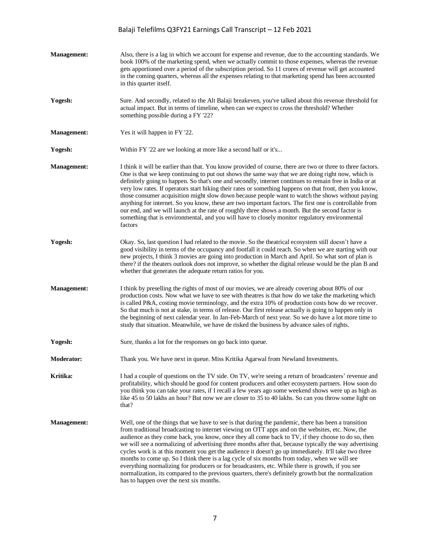| <b>Management:</b> | Also, there is a lag in which we account for expense and revenue, due to the accounting standards. We<br>book 100% of the marketing spend, when we actually commit to those expenses, whereas the revenue<br>gets apportioned over a period of the subscription period. So 11 crores of revenue will get accounted<br>in the coming quarters, whereas all the expenses relating to that marketing spend has been accounted<br>in this quarter itself.                                                                                                                                                                                                                                                                                                                                                                                                                                       |
|--------------------|---------------------------------------------------------------------------------------------------------------------------------------------------------------------------------------------------------------------------------------------------------------------------------------------------------------------------------------------------------------------------------------------------------------------------------------------------------------------------------------------------------------------------------------------------------------------------------------------------------------------------------------------------------------------------------------------------------------------------------------------------------------------------------------------------------------------------------------------------------------------------------------------|
| Yogesh:            | Sure. And secondly, related to the Alt Balaji breakeven, you've talked about this revenue threshold for<br>actual impact. But in terms of timeline, when can we expect to cross the threshold? Whether<br>something possible during a FY '22?                                                                                                                                                                                                                                                                                                                                                                                                                                                                                                                                                                                                                                               |
| <b>Management:</b> | Yes it will happen in FY '22.                                                                                                                                                                                                                                                                                                                                                                                                                                                                                                                                                                                                                                                                                                                                                                                                                                                               |
| Yogesh:            | Within FY '22 are we looking at more like a second half or it's                                                                                                                                                                                                                                                                                                                                                                                                                                                                                                                                                                                                                                                                                                                                                                                                                             |
| <b>Management:</b> | I think it will be earlier than that. You know provided of course, there are two or three to three factors.<br>One is that we keep continuing to put out shows the same way that we are doing right now, which is<br>definitely going to happen. So that's one and secondly, internet continues to remain free in India or at<br>very low rates. If operators start hiking their rates or something happens on that front, then you know,<br>those consumer acquisition might slow down because people want to watch the shows without paying<br>anything for internet. So you know, these are two important factors. The first one is controllable from<br>our end, and we will launch at the rate of roughly three shows a month. But the second factor is<br>something that is environmental, and you will have to closely monitor regulatory environmental<br>factors                   |
| Yogesh:            | Okay. So, last question I had related to the movie. So the theatrical ecosystem still doesn't have a<br>good visibility in terms of the occupancy and footfall it could reach. So when we are starting with our<br>new projects, I think 3 movies are going into production in March and April. So what sort of plan is<br>there? if the theaters outlook does not improve, so whether the digital release would be the plan B and<br>whether that generates the adequate return ratios for you.                                                                                                                                                                                                                                                                                                                                                                                            |
| <b>Management:</b> | I think by preselling the rights of most of our movies, we are already covering about 80% of our<br>production costs. Now what we have to see with theatres is that how do we take the marketing which<br>is called P&A, costing movie terminology, and the extra 10% of production costs how do we recover.<br>So that much is not at stake, in terms of release. Our first release actually is going to happen only in<br>the beginning of next calendar year. In Jan-Feb-March of next year. So we do have a lot more time to<br>study that situation. Meanwhile, we have de risked the business by advance sales of rights.                                                                                                                                                                                                                                                             |
| Yogesh:            | Sure, thanks a lot for the responses on go back into queue.                                                                                                                                                                                                                                                                                                                                                                                                                                                                                                                                                                                                                                                                                                                                                                                                                                 |
| <b>Moderator:</b>  | Thank you. We have next in queue. Miss Kritika Agarwal from Newland Investments.                                                                                                                                                                                                                                                                                                                                                                                                                                                                                                                                                                                                                                                                                                                                                                                                            |
| Kritika:           | I had a couple of questions on the TV side. On TV, we're seeing a return of broadcasters' revenue and<br>profitability, which should be good for content producers and other ecosystem partners. How soon do<br>you think you can take your rates, if I recall a few years ago some weekend shows were up as high as<br>like 45 to 50 lakhs an hour? But now we are closer to 35 to 40 lakhs. So can you throw some light on<br>that?                                                                                                                                                                                                                                                                                                                                                                                                                                                       |
| <b>Management:</b> | Well, one of the things that we have to see is that during the pandemic, there has been a transition<br>from traditional broadcasting to internet viewing on OTT apps and on the websites, etc. Now, the<br>audience as they come back, you know, once they all come back to TV, if they choose to do so, then<br>we will see a normalizing of advertising three months after that, because typically the way advertising<br>cycles work is at this moment you get the audience it doesn't go up immediately. It'll take two three<br>months to come up. So I think there is a lag cycle of six months from today, when we will see<br>everything normalizing for producers or for broadcasters, etc. While there is growth, if you see<br>normalization, its compared to the previous quarters, there's definitely growth but the normalization<br>has to happen over the next six months. |